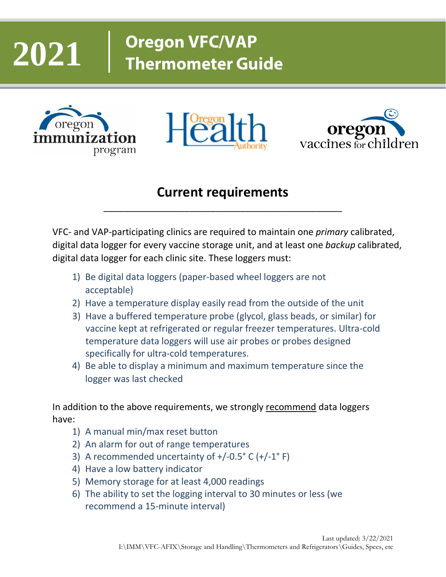# **2021**

# **Oregon VFC/VAP Thermometer Guide**







#### **Current requirements**

\_\_\_\_\_\_\_\_\_\_\_\_\_\_\_\_\_\_\_\_\_\_\_\_\_\_\_\_\_\_\_\_\_\_\_\_\_\_\_\_\_\_\_\_\_\_\_

VFC- and VAP-participating clinics are required to maintain one *primary* calibrated, digital data logger for every vaccine storage unit, and at least one *backup* calibrated, digital data logger for each clinic site. These loggers must:

- 1) Be digital data loggers (paper-based wheel loggers are not acceptable)
- 2) Have a temperature display easily read from the outside of the unit
- 3) Have a buffered temperature probe (glycol, glass beads, or similar) for vaccine kept at refrigerated or regular freezer temperatures. Ultra-cold temperature data loggers will use air probes or probes designed specifically for ultra-cold temperatures.
- 4) Be able to display a minimum and maximum temperature since the logger was last checked

In addition to the above requirements, we strongly recommend data loggers have:

- 1) A manual min/max reset button
- 2) An alarm for out of range temperatures
- 3) A recommended uncertainty of  $+/-0.5$ ° C  $(+/-1)$ ° F)
- 4) Have a low battery indicator
- 5) Memory storage for at least 4,000 readings
- 6) The ability to set the logging interval to 30 minutes or less (we recommend a 15-minute interval)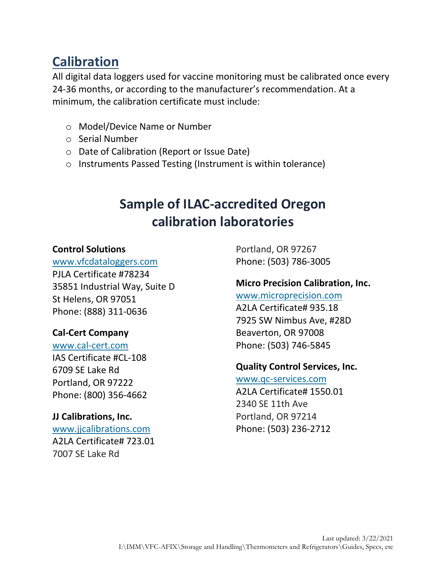#### **Calibration**

All digital data loggers used for vaccine monitoring must be calibrated once every 24-36 months, or according to the manufacturer's recommendation. At a minimum, the calibration certificate must include:

- o Model/Device Name or Number
- o Serial Number
- o Date of Calibration (Report or Issue Date)
- o Instruments Passed Testing (Instrument is within tolerance)

#### **Sample of ILAC-accredited Oregon calibration laboratories**

#### **Control Solutions**

[www.vfcdataloggers.com](http://www.vfcdataloggers.com/) PJLA Certificate #78234 35851 Industrial Way, Suite D St Helens, OR 97051 Phone: (888) 311-0636

#### **Cal-Cert Company**

[www.cal-cert.com](http://www.cal-cert.com/) IAS Certificate #CL-108 6709 SE Lake Rd Portland, OR 97222

Phone: (800) 356-4662

#### **JJ Calibrations, Inc.**

[www.jjcalibrations.com](http://www.jjcalibrations.com/) A2LA Certificate# 723.01 7007 SE Lake Rd

Portland, OR 97267 Phone: (503) 786-3005

#### **Micro Precision Calibration, Inc.**

[www.microprecision.com](http://www.microprecision.com/)

A2LA Certificate# 935.18 7925 SW Nimbus Ave, #28D Beaverton, OR 97008 Phone: (503) 746-5845

#### **Quality Control Services, Inc.**

[www.qc-services.com](http://www.qc-services.com/) A2LA Certificate# 1550.01 2340 SE 11th Ave Portland, OR 97214 Phone: (503) 236-2712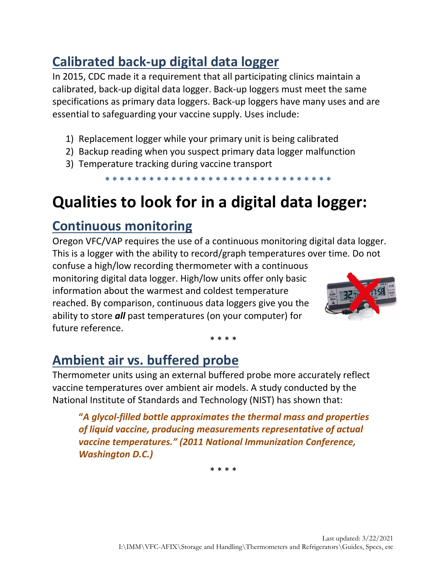## **Calibrated back-up digital data logger**

In 2015, CDC made it a requirement that all participating clinics maintain a calibrated, back-up digital data logger. Back-up loggers must meet the same specifications as primary data loggers. Back-up loggers have many uses and are essential to safeguarding your vaccine supply. Uses include:

- 1) Replacement logger while your primary unit is being calibrated
- 2) Backup reading when you suspect primary data logger malfunction
- 3) Temperature tracking during vaccine transport

**\* \* \* \* \* \* \* \* \* \* \* \* \* \* \* \* \* \* \* \* \* \* \* \* \* \* \* \* \* \* \***

## **Qualities to look for in a digital data logger:**

#### **Continuous monitoring**

Oregon VFC/VAP requires the use of a continuous monitoring digital data logger. This is a logger with the ability to record/graph temperatures over time. Do not

confuse a high/low recording thermometer with a continuous monitoring digital data logger. High/low units offer only basic information about the warmest and coldest temperature reached. By comparison, continuous data loggers give you the ability to store *all* past temperatures (on your computer) for future reference.



#### \* \* \* \*

## **Ambient air vs. buffered probe**

Thermometer units using an external buffered probe more accurately reflect vaccine temperatures over ambient air models. A study conducted by the National Institute of Standards and Technology (NIST) has shown that:

**"***A glycol-filled bottle approximates the thermal mass and properties of liquid vaccine, producing measurements representative of actual vaccine temperatures." (2011 National Immunization Conference, Washington D.C.)*

\* \* \* \*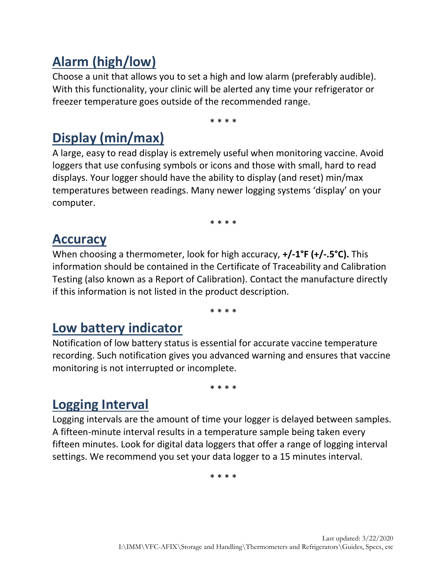## **Alarm (high/low)**

Choose a unit that allows you to set a high and low alarm (preferably audible). With this functionality, your clinic will be alerted any time your refrigerator or freezer temperature goes outside of the recommended range.

\* \* \* \*

## **Display (min/max)**

A large, easy to read display is extremely useful when monitoring vaccine. Avoid loggers that use confusing symbols or icons and those with small, hard to read displays. Your logger should have the ability to display (and reset) min/max temperatures between readings. Many newer logging systems 'display' on your computer.

\* \* \* \*

#### **Accuracy**

When choosing a thermometer, look for high accuracy, **+/-1°F (+/-.5°C).** This information should be contained in the Certificate of Traceability and Calibration Testing (also known as a Report of Calibration). Contact the manufacture directly if this information is not listed in the product description.

\* \* \* \*

#### **Low battery indicator**

Notification of low battery status is essential for accurate vaccine temperature recording. Such notification gives you advanced warning and ensures that vaccine monitoring is not interrupted or incomplete.

\* \* \* \*

#### **Logging Interval**

Logging intervals are the amount of time your logger is delayed between samples. A fifteen-minute interval results in a temperature sample being taken every fifteen minutes. Look for digital data loggers that offer a range of logging interval settings. We recommend you set your data logger to a 15 minutes interval.

\* \* \* \*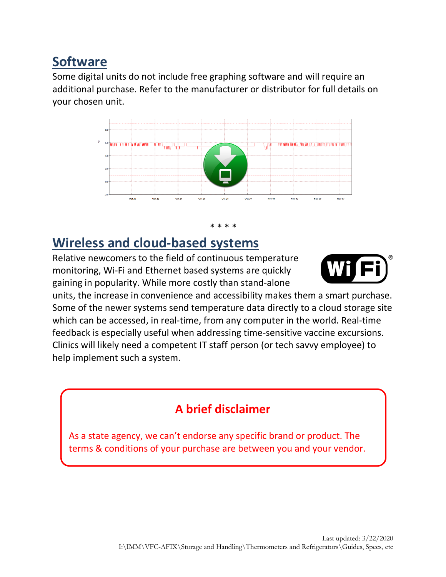#### **Software**

Some digital units do not include free graphing software and will require an additional purchase. Refer to the manufacturer or distributor for full details on your chosen unit.



#### \* \* \* \*

#### **Wireless and cloud-based systems**

Relative newcomers to the field of continuous temperature monitoring, Wi-Fi and Ethernet based systems are quickly gaining in popularity. While more costly than stand-alone



units, the increase in convenience and accessibility makes them a smart purchase. Some of the newer systems send temperature data directly to a cloud storage site which can be accessed, in real-time, from any computer in the world. Real-time feedback is especially useful when addressing time-sensitive vaccine excursions. Clinics will likely need a competent IT staff person (or tech savvy employee) to help implement such a system.

#### **A brief disclaimer**

As a state agency, we can't endorse any specific brand or product. The terms & conditions of your purchase are between you and your vendor.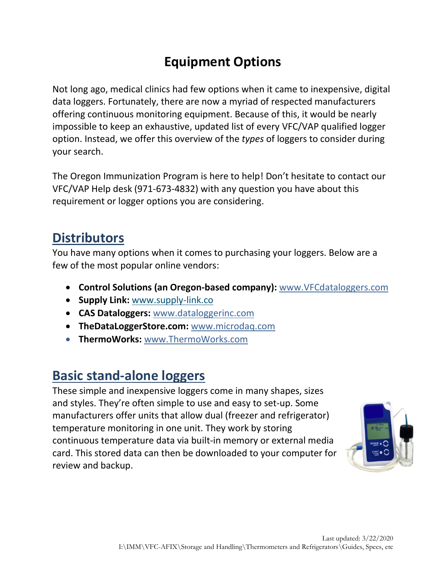## **Equipment Options**

Not long ago, medical clinics had few options when it came to inexpensive, digital data loggers. Fortunately, there are now a myriad of respected manufacturers offering continuous monitoring equipment. Because of this, it would be nearly impossible to keep an exhaustive, updated list of every VFC/VAP qualified logger option. Instead, we offer this overview of the *types* of loggers to consider during your search.

The Oregon Immunization Program is here to help! Don't hesitate to contact our VFC/VAP Help desk (971-673-4832) with any question you have about this requirement or logger options you are considering.

#### **Distributors**

You have many options when it comes to purchasing your loggers. Below are a few of the most popular online vendors:

- **Control Solutions (an Oregon-based company):** [www.VFCdataloggers.com](http://www.vfcdataloggers.com/)
- **Supply Link:** [www.supply-link.co](http://www.supply-link.co/)
- **CAS Dataloggers:** [www.dataloggerinc.com](http://www.dataloggerinc.com/)
- **TheDataLoggerStore.com:** [www.microdaq.com](http://www.microdaq.com/)
- **ThermoWorks:** [www.ThermoWorks.com](http://www.thermoworks.com/)

#### **Basic stand-alone loggers**

These simple and inexpensive loggers come in many shapes, sizes and styles. They're often simple to use and easy to set-up. Some manufacturers offer units that allow dual (freezer and refrigerator) temperature monitoring in one unit. They work by storing continuous temperature data via built-in memory or external media card. This stored data can then be downloaded to your computer for review and backup.

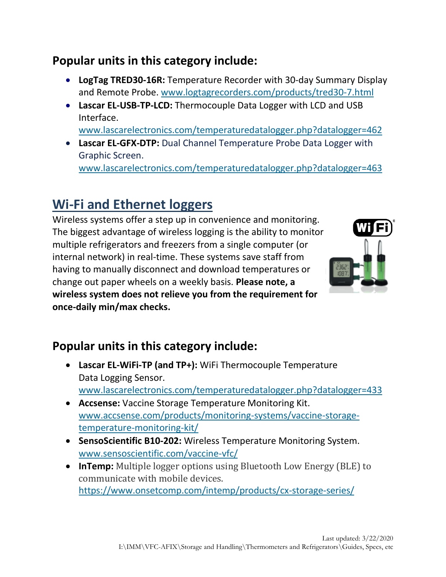#### **Popular units in this category include:**

- **LogTag TRED30-16R:** Temperature Recorder with 30-day Summary Display and Remote Probe. [www.logtagrecorders.com/products/tred30-7.html](http://www.logtagrecorders.com/products/tred30-7.html)
- **Lascar EL-USB-TP-LCD:** Thermocouple Data Logger with LCD and USB Interface.

[www.lascarelectronics.com/temperaturedatalogger.php?datalogger=462](http://www.lascarelectronics.com/temperaturedatalogger.php?datalogger=462)

• **Lascar EL-GFX-DTP:** Dual Channel Temperature Probe Data Logger with Graphic Screen. [www.lascarelectronics.com/temperaturedatalogger.php?datalogger=463](http://www.lascarelectronics.com/temperaturedatalogger.php?datalogger=463)

## **Wi-Fi and Ethernet loggers**

Wireless systems offer a step up in convenience and monitoring. The biggest advantage of wireless logging is the ability to monitor multiple refrigerators and freezers from a single computer (or internal network) in real-time. These systems save staff from having to manually disconnect and download temperatures or change out paper wheels on a weekly basis. **Please note, a wireless system does not relieve you from the requirement for once-daily min/max checks.**



#### **Popular units in this category include:**

- **Lascar EL-WiFi-TP (and TP+):** WiFi Thermocouple Temperature Data Logging Sensor. [www.lascarelectronics.com/temperaturedatalogger.php?datalogger=433](http://www.lascarelectronics.com/temperaturedatalogger.php?datalogger=433)
- **Accsense:** Vaccine Storage Temperature Monitoring Kit. [www.accsense.com/products/monitoring-systems/vaccine-storage](http://www.accsense.com/products/monitoring-systems/vaccine-storage-temperature-monitoring-kit/)[temperature-monitoring-kit/](http://www.accsense.com/products/monitoring-systems/vaccine-storage-temperature-monitoring-kit/)
- **SensoScientific B10-202:** Wireless Temperature Monitoring System. [www.sensoscientific.com/vaccine-vfc/](http://www.sensoscientific.com/vaccine-vfc/)
- **InTemp:** Multiple logger options using Bluetooth Low Energy (BLE) to communicate with mobile devices. <https://www.onsetcomp.com/intemp/products/cx-storage-series/>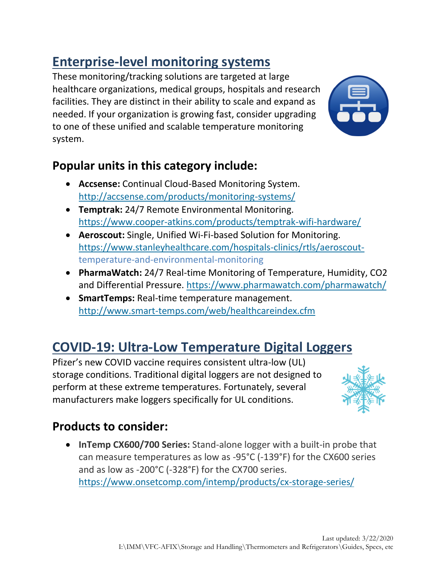## **Enterprise-level monitoring systems**

These monitoring/tracking solutions are targeted at large healthcare organizations, medical groups, hospitals and research facilities. They are distinct in their ability to scale and expand as needed. If your organization is growing fast, consider upgrading to one of these unified and scalable temperature monitoring system.



#### **Popular units in this category include:**

- **Accsense:** Continual Cloud-Based Monitoring System. <http://accsense.com/products/monitoring-systems/>
- **Temptrak:** 24/7 Remote Environmental Monitoring. <https://www.cooper-atkins.com/products/temptrak-wifi-hardware/>
- **Aeroscout:** Single, Unified Wi-Fi-based Solution for Monitoring. [https://www.stanleyhealthcare.com/hospitals-clinics/rtls/aeroscout](https://www.stanleyhealthcare.com/hospitals-clinics/rtls/aeroscout-)temperature-and-environmental-monitoring
- **PharmaWatch:** 24/7 Real-time Monitoring of Temperature, Humidity, CO2 and Differential Pressure.<https://www.pharmawatch.com/pharmawatch/>
- **SmartTemps:** Real-time temperature management. <http://www.smart-temps.com/web/healthcareindex.cfm>

## **COVID-19: Ultra-Low Temperature Digital Loggers**

Pfizer's new COVID vaccine requires consistent ultra-low (UL) storage conditions. Traditional digital loggers are not designed to perform at these extreme temperatures. Fortunately, several manufacturers make loggers specifically for UL conditions.



#### **Products to consider:**

• **InTemp CX600/700 Series:** Stand-alone logger with a built-in probe that can measure temperatures as low as -95°C (-139°F) for the CX600 series and as low as -200°C (-328°F) for the CX700 series. <https://www.onsetcomp.com/intemp/products/cx-storage-series/>